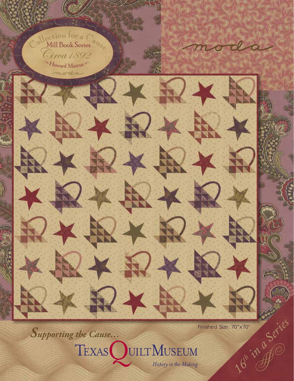${}^{\circledR}$ Howard Marcus Mection for a C Circa1892 Mill Book Series

大型

大野大學

人女母

moda

\*-

Finished Size: 70"x70" 16th in a Series

close

*Supporting the Cause…*

大安

TEXAS JUILTMUSEUM History in the Making

うかも

大夫

大野女食

XQX

1X.

人文学

 $2*$ 

 $\mathbf{X}$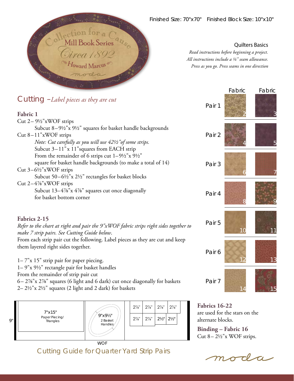

Quilters Basics

*Read instructions before beginning a project. All instructions include a ¼" seam allowance. Press as you go. Press seams in one direction* 

| Cutting $-Label$ pieces as they are cut<br>Fabric 1                                                                                                                                                                                             | Pair 1 | Fabric         | Fabric |
|-------------------------------------------------------------------------------------------------------------------------------------------------------------------------------------------------------------------------------------------------|--------|----------------|--------|
| Cut $2 - 9\frac{1}{2}$ "xWOF strips<br>Subcut 8-91/2"x 91/2" squares for basket handle backgrounds<br>Cut 8-11"xWOF strips<br>Note: Cut carefully as you will use 421/2" of some strips.<br>Subcut 3-11" x 11" squares from EACH strip          | Pair 2 |                |        |
| From the remainder of 6 strips cut $1-9\frac{1}{2}x$ $9\frac{1}{2}$ "<br>square for basket handle backgrounds (to make a total of 14)<br>Cut $3-6\frac{1}{2}$ "xWOF strips<br>Subcut 50-61/2"x 21/2" rectangles for basket blocks               | Pair 3 |                |        |
| Cut $2-4\%$ "xWOF strips<br>Subcut 13-4%"x 4%" squares cut once diagonally<br>for basket bottom corner                                                                                                                                          | Pair 4 |                |        |
| Fabrics 2-15<br>Refer to the chart at right and pair the 9"xWOF fabric strips right sides together to<br>make 7 strip pairs. See Cutting Guide below.                                                                                           | Pair 5 | 1 <sub>0</sub> |        |
| From each strip pair cut the following. Label pieces as they are cut and keep<br>them layered right sides together.<br>$1 - 7"$ x 15" strip pair for paper piecing.                                                                             | Pair 6 |                |        |
| 1-9"x 9½" rectangle pair for basket handles<br>From the remainder of strip pair cut<br>6-2%"x 2%" squares (6 light and 6 dark) cut once diagonally for baskets<br>$2-2\frac{1}{2}$ "x $2\frac{1}{2}$ " squares (2 light and 2 dark) for baskets | Pair 7 |                | 15     |

2– 2½"x 2½" squares (2 light and 2 dark) for baskets



Cutting Guide for Quarter Yard Strip Pairs

**Fabrics 16-22** are used for the stars on the alternate blocks.

**Binding – Fabric 16** Cut 8– 2½"x WOF strips.

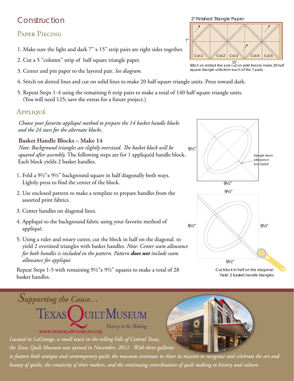# Construction

# PAPER PIECING

- 1. Make sure the light and dark 7" x 15" strip pairs are right sides together.
- 2. Cut a 5 "column" strip of half square triangle paper.
- 3. Center and pin paper to the layered pair. *See diagram.*
- 4. Stitch on dotted lines and cut on solid lines to make 20 half square triangle units. Press toward dark.
- 5. Repeat Steps 1-4 using the remaining 6 strip pairs to make a total of 140 half square triangle units. (You will need 125; save the extras for a future project.)

### Appliqué

*Choose your favorite appliqué method to prepare the 14 basket handle blocks and the 24 stars for the alternate blocks.*

#### **Basket Handle Blocks – Make 14**

*Note: Background triangles are slightly oversized. The basket block will be squared after assembly.* The following steps are for 1 appliquéd handle block. Each block yields 2 basket handles.

- 1. Fold a 9½"x 9½" background square in half diagonally both ways. Lightly press to find the center of the block.
- 2. Use enclosed pattern to make a template to prepare handles from the assorted print fabrics.
- 3. Center handles on diagonal lines.

*Supporting the Cause…*

- 4. Appliqué to the background fabric using your favorite method of appliqué.
- 5. Using a ruler and rotary cutter, cut the block in half on the diagonal. to yield 2 oversized triangles with basket handles. *Note: Center seam allowance for both handles is included in the pattern. Pattern does not include seam allowance for appliqué.*

Repeat Steps 1-5 with remaining 9½"x 9½" squares to make a total of 28 basket handles.





Cut block in half on the diagonal Yield: 2 basket handle triangles

History in the Making www.texasquiltmuseum.org

*Located in LaGrange, a small town in the rolling hills of Central Texas,* 

*the Texas Quilt Museum was opened in November, 2011. With three galleries* 

TEXAS JUILTMUSEUM

*to feature both antique and contemporary quilts the museum continues to share its mission to recognize and celebrate the art and beauty of quilts, the creativity of their makers, and the continuing contributions of quilt making to history and culture.*



2" Finished Triangle Paper

Col.1  $\mathbb{W}$  Col.2  $|$  Col.3

7"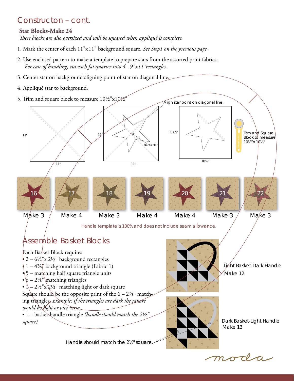### Constructon – cont.

#### **Star Blocks-Make 24**

*These blocks are also oversized and will be squared when appliqué is complete.*

- 1. Mark the center of each 11"x11" background square. *See Step1 on the previous page.*
- 2. Use enclosed pattern to make a template to prepare stars from the assorted print fabrics. *For ease of handling, cut each fat quarter into 4– 9"x11"rectangles.*
- 3. Center star on background aligning point of star on diagonal line.
- 4. Appliqué star to background.
- 5. Trim and square block to measure 10½"x10½" 11" 11" 11" 11" 10½"  $10\%$ Trim and Square Block to measure 10½"x 10½" Align star point on diagonal line. Star Center 17 21 16 22 19 20 18

 $M$ *ake* 3

Make 4

Make 3

Make 4 Make 4 Make 3

Make 3

Handle template is 100% and does not include seam allowance.

# Assemble Basket Blocks

Each Basket Block requires:  $2 - 6\frac{1}{2}$ "x 2½" background rectangles  $\bullet$  1 – 4%" background triangle (Fabric 1)  $\frac{1}{2}$  – matching half square triangle units •  $6 - 2\%$ " matching triangles •  $\Lambda$  – 2½"x\2½" matching light or dark square Square should be the opposite print of the  $6 - 2\%$ " matching triangles. *Example: if the triangles are dark the square would be light or vice versa.* • 1 – basket handle triangle *(handle should match the 2½" square)*

Handle should match the 2½" square.



Light Basket-Dark Handle Make 12



Dark Basket-Light Handle Make 13

moda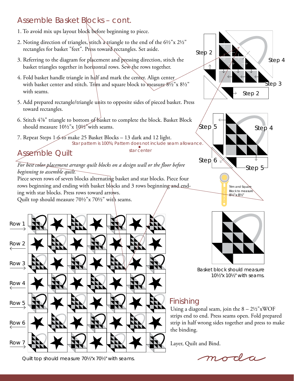# Assemble Basket Blocks – cont.

- 1. To avoid mix ups layout block before beginning to piece.
- 2. Noting direction of triangles, stitch a triangle to the end of the  $6\frac{1}{2}$ "x  $2\frac{1}{2}$ " rectangles for basket "feet". Press toward rectangles. Set aside.
- 3. Referring to the diagram for placement and pressing direction, stitch the basket triangles together in horizontal rows. Sew the rows together.
- 4. Fold basket handle triangle in half and mark the center. Align center with basket center and stitch. Trim and square block to measure  $8\frac{1}{2}$ "x  $8\frac{1}{2}$ " with seams.
- 5. Add prepared rectangle/triangle units to opposite sides of pieced basket. Press toward rectangles.
- 6. Stitch 4⅞" triangle to bottom of basket to complete the block. Basket Block should measure 10½"x 10½"with seams.
- 7. Repeat Steps 1-6 to make 25 Basket Blocks 13 dark and 12 light. Star pattern is 100%; Pattern does not include seam allowance

star center

# Assemble Quilt

#### *For best color placement arrange quilt blocks on a design wall or the floor before beginning to assemble quilt.*

Piece seven rows of seven blocks alternating basket and star blocks. Piece four rows beginning and ending with basket blocks and 3 rows beginning and ending with star blocks. Press rows toward arrows. Quilt top should measure 70½"x 70½" with seams.



Step 2 Step 2 Step 3 Step 4





Basket block should measure 10½"x 10½" with seams.

### Finishing

Using a diagonal seam, join the  $8 - 2\frac{1}{2}$ "xWOF strips end to end. Press seams open. Fold prepared strip in half wrong sides together and press to make the binding.

Layer, Quilt and Bind.



Quilt top should measure 70½"x 70½" with seams.